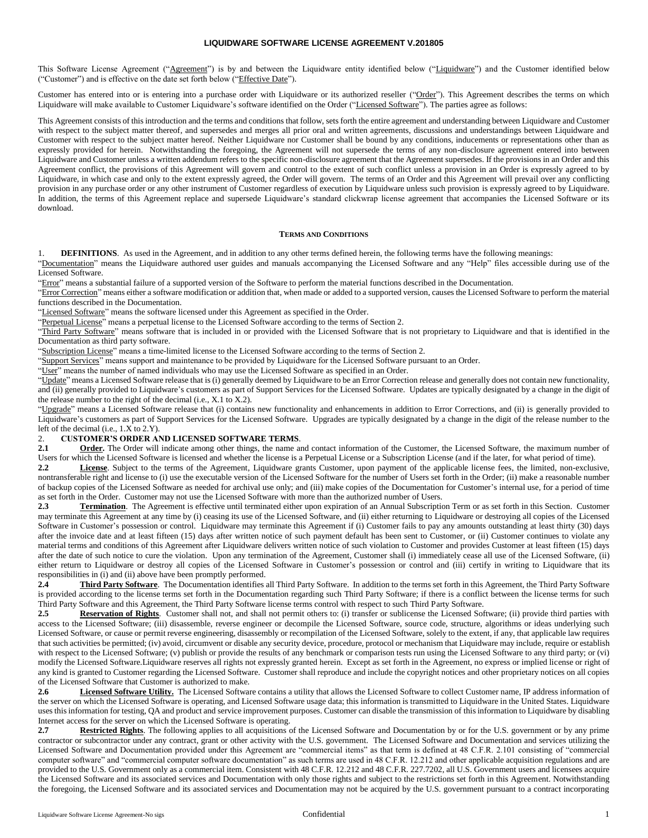## **LIQUIDWARE SOFTWARE LICENSE AGREEMENT V.201805**

This Software License Agreement ("Agreement") is by and between the Liquidware entity identified below ("Liquidware") and the Customer identified below ("Customer") and is effective on the date set forth below ("Effective Date").

Customer has entered into or is entering into a purchase order with Liquidware or its authorized reseller ("Order"). This Agreement describes the terms on which Liquidware will make available to Customer Liquidware's software identified on the Order ("Licensed Software"). The parties agree as follows:

This Agreement consists of this introduction and the terms and conditions that follow, sets forth the entire agreement and understanding between Liquidware and Customer with respect to the subject matter thereof, and supersedes and merges all prior oral and written agreements, discussions and understandings between Liquidware and Customer with respect to the subject matter hereof. Neither Liquidware nor Customer shall be bound by any conditions, inducements or representations other than as expressly provided for herein. Notwithstanding the foregoing, the Agreement will not supersede the terms of any non-disclosure agreement entered into between Liquidware and Customer unless a written addendum refers to the specific non-disclosure agreement that the Agreement supersedes. If the provisions in an Order and this Agreement conflict, the provisions of this Agreement will govern and control to the extent of such conflict unless a provision in an Order is expressly agreed to by Liquidware, in which case and only to the extent expressly agreed, the Order will govern. The terms of an Order and this Agreement will prevail over any conflicting provision in any purchase order or any other instrument of Customer regardless of execution by Liquidware unless such provision is expressly agreed to by Liquidware. In addition, the terms of this Agreement replace and supersede Liquidware's standard clickwrap license agreement that accompanies the Licensed Software or its download.

#### **TERMS AND CONDITIONS**

1. **DEFINITIONS**. As used in the Agreement, and in addition to any other terms defined herein, the following terms have the following meanings:

"Documentation" means the Liquidware authored user guides and manuals accompanying the Licensed Software and any "Help" files accessible during use of the Licensed Software.

"Error" means a substantial failure of a supported version of the Software to perform the material functions described in the Documentation.

"Error Correction" means either a software modification or addition that, when made or added to a supported version, causes the Licensed Software to perform the material functions described in the Documentation.

"Licensed Software" means the software licensed under this Agreement as specified in the Order.

"Perpetual License" means a perpetual license to the Licensed Software according to the terms of Section 2.

"Third Party Software" means software that is included in or provided with the Licensed Software that is not proprietary to Liquidware and that is identified in the Documentation as third party software.

"Subscription License" means a time-limited license to the Licensed Software according to the terms of Section 2.

"Support Services" means support and maintenance to be provided by Liquidware for the Licensed Software pursuant to an Order.

"User" means the number of named individuals who may use the Licensed Software as specified in an Order.

"Update" means a Licensed Software release that is (i) generally deemed by Liquidware to be an Error Correction release and generally does not contain new functionality, and (ii) generally provided to Liquidware's customers as part of Support Services for the Licensed Software. Updates are typically designated by a change in the digit of the release number to the right of the decimal (i.e., X.1 to X.2).

"Upgrade" means a Licensed Software release that (i) contains new functionality and enhancements in addition to Error Corrections, and (ii) is generally provided to Liquidware's customers as part of Support Services for the Licensed Software. Upgrades are typically designated by a change in the digit of the release number to the left of the decimal (i.e., 1.X to 2.Y).

# 2. **CUSTOMER'S ORDER AND LICENSED SOFTWARE TERMS.**<br>2.1 Order. The Order will indicate among other things, the name as

**Order.** The Order will indicate among other things, the name and contact information of the Customer, the Licensed Software, the maximum number of Users for which the Licensed Software is licensed and whether the license is a Perpetual License or a Subscription License (and if the later, for what period of time).

**2.2 License**. Subject to the terms of the Agreement, Liquidware grants Customer, upon payment of the applicable license fees, the limited, non-exclusive, nontransferable right and license to (i) use the executable version of the Licensed Software for the number of Users set forth in the Order; (ii) make a reasonable number of backup copies of the Licensed Software as needed for archival use only; and (iii) make copies of the Documentation for Customer's internal use, for a period of time as set forth in the Order. Customer may not use the Licensed Software with more than the authorized number of Users.

**2.3 Termination**. The Agreement is effective until terminated either upon expiration of an Annual Subscription Term or as set forth in this Section. Customer may terminate this Agreement at any time by (i) ceasing its use of the Licensed Software, and (ii) either returning to Liquidware or destroying all copies of the Licensed Software in Customer's possession or control. Liquidware may terminate this Agreement if (i) Customer fails to pay any amounts outstanding at least thirty (30) days after the invoice date and at least fifteen (15) days after written notice of such payment default has been sent to Customer, or (ii) Customer continues to violate any material terms and conditions of this Agreement after Liquidware delivers written notice of such violation to Customer and provides Customer at least fifteen (15) days after the date of such notice to cure the violation. Upon any termination of the Agreement, Customer shall (i) immediately cease all use of the Licensed Software, (ii) either return to Liquidware or destroy all copies of the Licensed Software in Customer's possession or control and (iii) certify in writing to Liquidware that its responsibilities in (i) and (ii) above have been promptly performed.<br>2.4 Third Party Software. The Documentation identifies

**2.4 Third Party Software**. The Documentation identifies all Third Party Software. In addition to the terms set forth in this Agreement, the Third Party Software is provided according to the license terms set forth in the Documentation regarding such Third Party Software; if there is a conflict between the license terms for such Third Party Software and this Agreement, the Third Party Software license terms control with respect to such Third Party Software.

2.5 **Reservation of Rights**. Customer shall not, and shall not permit others to: (i) transfer or sublicense the Licensed Software; (ii) provide third parties with access to the Licensed Software; (iii) disassemble, reverse engineer or decompile the Licensed Software, source code, structure, algorithms or ideas underlying such Licensed Software, or cause or permit reverse engineering, disassembly or recompilation of the Licensed Software, solely to the extent, if any, that applicable law requires that such activities be permitted; (iv) avoid, circumvent or disable any security device, procedure, protocol or mechanism that Liquidware may include, require or establish with respect to the Licensed Software; (v) publish or provide the results of any benchmark or comparison tests run using the Licensed Software to any third party; or (vi) modify the Licensed Software.Liquidware reserves all rights not expressly granted herein. Except as set forth in the Agreement, no express or implied license or right of any kind is granted to Customer regarding the Licensed Software. Customer shall reproduce and include the copyright notices and other proprietary notices on all copies of the Licensed Software that Customer is authorized to make.

**2.6 Licensed Software Utility.** The Licensed Software contains a utility that allows the Licensed Software to collect Customer name, IP address information of the server on which the Licensed Software is operating, and Licensed Software usage data; this information is transmitted to Liquidware in the United States. Liquidware uses this information for testing, QA and product and service improvement purposes. Customer can disable the transmission of this information to Liquidware by disabling Internet access for the server on which the Licensed Software is operating.

**2.7 Restricted Rights**. The following applies to all acquisitions of the Licensed Software and Documentation by or for the U.S. government or by any prime contractor or subcontractor under any contract, grant or other activity with the U.S. government. The Licensed Software and Documentation and services utilizing the Licensed Software and Documentation provided under this Agreement are "commercial items" as that term is defined at 48 C.F.R. 2.101 consisting of "commercial computer software" and "commercial computer software documentation" as such terms are used in 48 C.F.R. 12.212 and other applicable acquisition regulations and are provided to the U.S. Government only as a commercial item. Consistent with 48 C.F.R. 12.212 and 48 C.F.R. 227.7202, all U.S. Government users and licensees acquire the Licensed Software and its associated services and Documentation with only those rights and subject to the restrictions set forth in this Agreement. Notwithstanding the foregoing, the Licensed Software and its associated services and Documentation may not be acquired by the U.S. government pursuant to a contract incorporating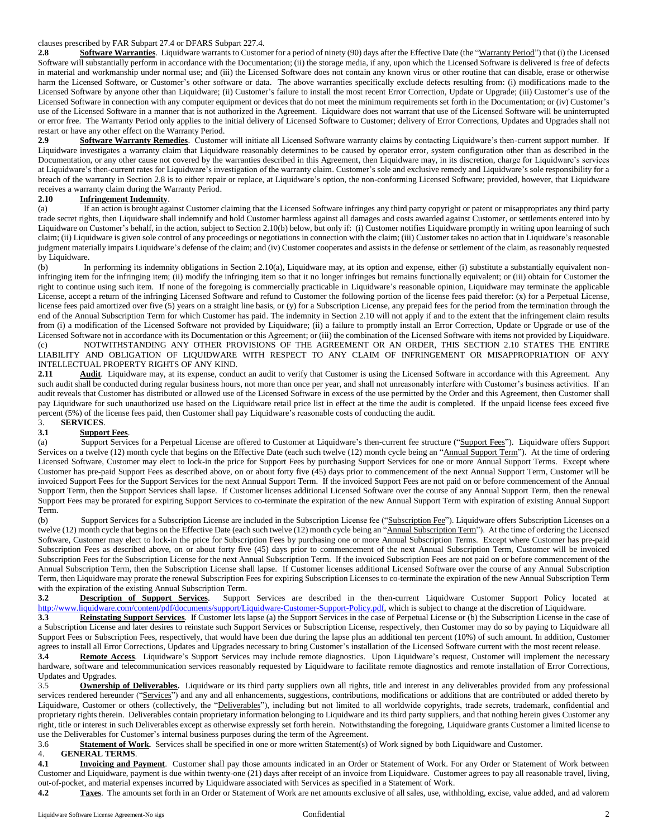# clauses prescribed by FAR Subpart 27.4 or DFARS Subpart 227.4.

**2.8 Software Warranties**. Liquidware warrants to Customer for a period of ninety (90) days after the Effective Date (the "Warranty Period") that (i) the Licensed Software will substantially perform in accordance with the Documentation; (ii) the storage media, if any, upon which the Licensed Software is delivered is free of defects in material and workmanship under normal use; and (iii) the Licensed Software does not contain any known virus or other routine that can disable, erase or otherwise harm the Licensed Software, or Customer's other software or data. The above warranties specifically exclude defects resulting from: (i) modifications made to the Licensed Software by anyone other than Liquidware; (ii) Customer's failure to install the most recent Error Correction, Update or Upgrade; (iii) Customer's use of the Licensed Software in connection with any computer equipment or devices that do not meet the minimum requirements set forth in the Documentation; or (iv) Customer's use of the Licensed Software in a manner that is not authorized in the Agreement. Liquidware does not warrant that use of the Licensed Software will be uninterrupted or error free. The Warranty Period only applies to the initial delivery of Licensed Software to Customer; delivery of Error Corrections, Updates and Upgrades shall not restart or have any other effect on the Warranty Period.

**2.9 Software Warranty Remedies**. Customer will initiate all Licensed Software warranty claims by contacting Liquidware's then-current support number. If Liquidware investigates a warranty claim that Liquidware reasonably determines to be caused by operator error, system configuration other than as described in the Documentation, or any other cause not covered by the warranties described in this Agreement, then Liquidware may, in its discretion, charge for Liquidware's services at Liquidware's then-current rates for Liquidware's investigation of the warranty claim. Customer's sole and exclusive remedy and Liquidware's sole responsibility for a breach of the warranty in Section 2.8 is to either repair or replace, at Liquidware's option, the non-conforming Licensed Software; provided, however, that Liquidware receives a warranty claim during the Warranty Period.<br>2.10 **Infringement Indemnity**.

# **2.10 Infringement Indemnity**.

<span id="page-1-1"></span>(a) If an action is brought against Customer claiming that the Licensed Software infringes any third party copyright or patent or misappropriates any third party trade secret rights, then Liquidware shall indemnify and hold Customer harmless against all damages and costs awarded against Customer, or settlements entered into by Liquidware on Customer's behalf, in the action, subject to Sectio[n 2.10\(b\)](#page-1-0) below, but only if: (i) Customer notifies Liquidware promptly in writing upon learning of such claim; (ii) Liquidware is given sole control of any proceedings or negotiations in connection with the claim; (iii) Customer takes no action that in Liquidware's reasonable judgment materially impairs Liquidware's defense of the claim; and (iv) Customer cooperates and assists in the defense or settlement of the claim, as reasonably requested by Liquidware.

<span id="page-1-0"></span>(b) In performing its indemnity obligations in Section [2.10\(a\),](#page-1-1) Liquidware may, at its option and expense, either (i) substitute a substantially equivalent noninfringing item for the infringing item; (ii) modify the infringing item so that it no longer infringes but remains functionally equivalent; or (iii) obtain for Customer the right to continue using such item. If none of the foregoing is commercially practicable in Liquidware's reasonable opinion, Liquidware may terminate the applicable License, accept a return of the infringing Licensed Software and refund to Customer the following portion of the license fees paid therefor: (x) for a Perpetual License, license fees paid amortized over five (5) years on a straight line basis, or (y) for a Subscription License, any prepaid fees for the period from the termination through the end of the Annual Subscription Term for which Customer has paid. The indemnity in Section 2.10 will not apply if and to the extent that the infringement claim results from (i) a modification of the Licensed Software not provided by Liquidware; (ii) a failure to promptly install an Error Correction, Update or Upgrade or use of the Licensed Software not in accordance with its Documentation or this Agreement; or (iii) the combination of the Licensed Software with items not provided by Liquidware. (c) NOTWITHSTANDING ANY OTHER PROVISIONS OF THE AGREEMENT OR AN ORDER, THIS SECTION 2.10 STATES THE ENTIRE LIABILITY AND OBLIGATION OF LIQUIDWARE WITH RESPECT TO ANY CLAIM OF INFRINGEMENT OR MISAPPROPRIATION OF ANY INTELLECTUAL PROPERTY RIGHTS OF ANY KIND.

**2.11 Audit**. Liquidware may, at its expense, conduct an audit to verify that Customer is using the Licensed Software in accordance with this Agreement. Any such audit shall be conducted during regular business hours, not more than once per year, and shall not unreasonably interfere with Customer's business activities. If an audit reveals that Customer has distributed or allowed use of the Licensed Software in excess of the use permitted by the Order and this Agreement, then Customer shall pay Liquidware for such unauthorized use based on the Liquidware retail price list in effect at the time the audit is completed. If the unpaid license fees exceed five percent (5%) of the license fees paid, then Customer shall pay Liquidware's reasonable costs of conducting the audit.<br>3. **SERVICES** 

### 3. **SERVICES**. **3.1 Support Fees**.

(a) Support Services for a Perpetual License are offered to Customer at Liquidware's then-current fee structure ("Support Fees"). Liquidware offers Support Services on a twelve (12) month cycle that begins on the Effective Date (each such twelve (12) month cycle being an "Annual Support Term"). At the time of ordering Licensed Software, Customer may elect to lock-in the price for Support Fees by purchasing Support Services for one or more Annual Support Terms. Except where Customer has pre-paid Support Fees as described above, on or about forty five (45) days prior to commencement of the next Annual Support Term, Customer will be invoiced Support Fees for the Support Services for the next Annual Support Term. If the invoiced Support Fees are not paid on or before commencement of the Annual Support Term, then the Support Services shall lapse. If Customer licenses additional Licensed Software over the course of any Annual Support Term, then the renewal Support Fees may be prorated for expiring Support Services to co-terminate the expiration of the new Annual Support Term with expiration of existing Annual Support Term.

(b) Support Services for a Subscription License are included in the Subscription License fee ("Subscription Fee"). Liquidware offers Subscription Licenses on a twelve (12) month cycle that begins on the Effective Date (each such twelve (12) month cycle being an "Annual Subscription Term"). At the time of ordering the Licensed Software, Customer may elect to lock-in the price for Subscription Fees by purchasing one or more Annual Subscription Terms. Except where Customer has pre-paid Subscription Fees as described above, on or about forty five (45) days prior to commencement of the next Annual Subscription Term, Customer will be invoiced Subscription Fees for the Subscription License for the next Annual Subscription Term. If the invoiced Subscription Fees are not paid on or before commencement of the Annual Subscription Term, then the Subscription License shall lapse. If Customer licenses additional Licensed Software over the course of any Annual Subscription Term, then Liquidware may prorate the renewal Subscription Fees for expiring Subscription Licenses to co-terminate the expiration of the new Annual Subscription Term

with the expiration of the existing Annual Subscription Term.<br>3.2 **Description of Support Services**. Support **3.2 Description of Support Services**. Support Services are described in the then-current Liquidware Customer Support Policy located at [http://www.liquidware.com/content/pdf/documents/support/Liquidware-Customer-Support-Policy.pdf,](http://www.liquidware.com/content/pdf/documents/support/Liquidware-Customer-Support-Policy.pdf) which is subject to change at the discretion of Liquidware.

**3.3** Reinstating Support Services. If Customer lets lapse (a) the Support Services in the case of Perpetual License or (b) the Subscription License in the case of a Subscription License and later desires to reinstate such Support Services or Subscription License, respectively, then Customer may do so by paying to Liquidware all Support Fees or Subscription Fees, respectively, that would have been due during the lapse plus an additional ten percent (10%) of such amount. In addition, Customer agrees to install all Error Corrections, Updates and Upgrades necessary to bring Customer's installation of the Licensed Software current with the most recent release.

**3.4 Remote Access**. Liquidware's Support Services may include remote diagnostics. Upon Liquidware's request, Customer will implement the necessary hardware, software and telecommunication services reasonably requested by Liquidware to facilitate remote diagnostics and remote installation of Error Corrections, Updates and Upgrades.

3.5 **Ownership of Deliverables.** Liquidware or its third party suppliers own all rights, title and interest in any deliverables provided from any professional services rendered hereunder ("Services") and any and all enhancements, suggestions, contributions, modifications or additions that are contributed or added thereto by Liquidware, Customer or others (collectively, the "Deliverables"), including but not limited to all worldwide copyrights, trade secrets, trademark, confidential and proprietary rights therein. Deliverables contain proprietary information belonging to Liquidware and its third party suppliers, and that nothing herein gives Customer any right, title or interest in such Deliverables except as otherwise expressly set forth herein. Notwithstanding the foregoing, Liquidware grants Customer a limited license to use the Deliverables for Customer's internal business purposes during the term of the Agreement.<br>3.6 **Statement of Work.** Services shall be specified in one or more written Statement(s)

**Statement of Work.** Services shall be specified in one or more written Statement(s) of Work signed by both Liquidware and Customer.

## 4. **GENERAL TERMS**.

**4.1 Invoicing and Payment**. Customer shall pay those amounts indicated in an Order or Statement of Work. For any Order or Statement of Work between Customer and Liquidware, payment is due within twenty-one (21) days after receipt of an invoice from Liquidware. Customer agrees to pay all reasonable travel, living, out-of-pocket, and material expenses incurred by Liquidware associated with Services as specified in a Statement of Work.

**4.2 Taxes**. The amounts set forth in an Order or Statement of Work are net amounts exclusive of all sales, use, withholding, excise, value added, and ad valorem